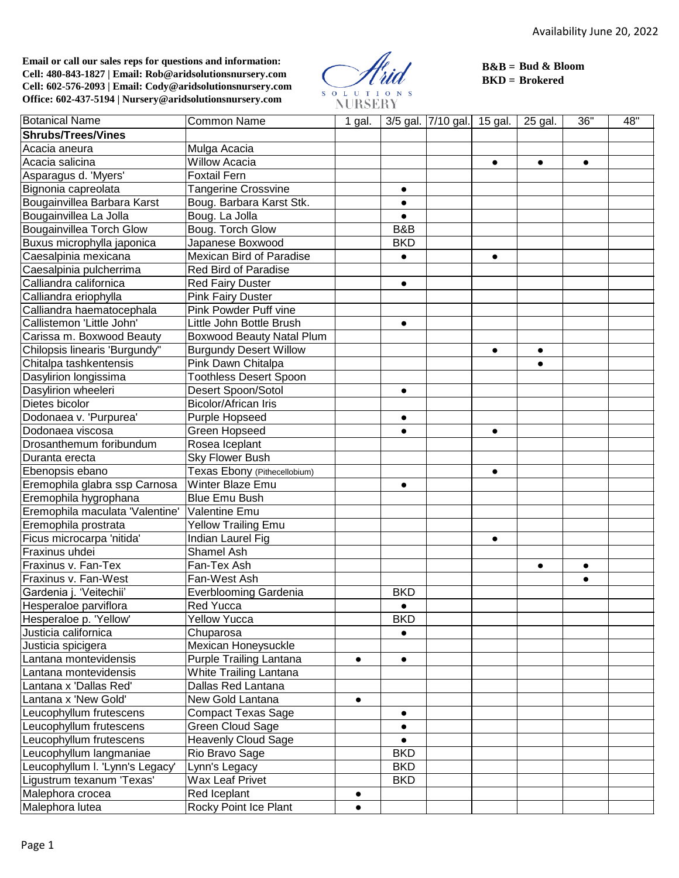**Email or call our sales reps for questions and information: Cell: 480-843-1827 | Email: Rob@aridsolutionsnursery.com Cell: 602-576-2093 | Email: Cody@aridsolutionsnursery.com Office: 602-437-5194 | Nursery@aridsolutionsnursery.com**

SOLUTIONS<br>NURSERY

**B&B = Bud & Bloom BKD = Brokered**

| <b>Botanical Name</b>           | <b>Common Name</b>            | 1 gal.    |            | 3/5 gal. 7/10 gal. 15 gal. |           | 25 gal.   | 36"       | 48" |
|---------------------------------|-------------------------------|-----------|------------|----------------------------|-----------|-----------|-----------|-----|
| <b>Shrubs/Trees/Vines</b>       |                               |           |            |                            |           |           |           |     |
| Acacia aneura                   | Mulga Acacia                  |           |            |                            |           |           |           |     |
| Acacia salicina                 | <b>Willow Acacia</b>          |           |            |                            | $\bullet$ | $\bullet$ | $\bullet$ |     |
| Asparagus d. 'Myers'            | <b>Foxtail Fern</b>           |           |            |                            |           |           |           |     |
| Bignonia capreolata             | <b>Tangerine Crossvine</b>    |           | $\bullet$  |                            |           |           |           |     |
| Bougainvillea Barbara Karst     | Boug. Barbara Karst Stk.      |           | $\bullet$  |                            |           |           |           |     |
| Bougainvillea La Jolla          | Boug. La Jolla                |           | $\bullet$  |                            |           |           |           |     |
| <b>Bougainvillea Torch Glow</b> | Boug. Torch Glow              |           | B&B        |                            |           |           |           |     |
| Buxus microphylla japonica      | Japanese Boxwood              |           | <b>BKD</b> |                            |           |           |           |     |
| Caesalpinia mexicana            | Mexican Bird of Paradise      |           | $\bullet$  |                            | $\bullet$ |           |           |     |
| Caesalpinia pulcherrima         | <b>Red Bird of Paradise</b>   |           |            |                            |           |           |           |     |
| Calliandra californica          | <b>Red Fairy Duster</b>       |           | $\bullet$  |                            |           |           |           |     |
| Calliandra eriophylla           | <b>Pink Fairy Duster</b>      |           |            |                            |           |           |           |     |
| Calliandra haematocephala       | Pink Powder Puff vine         |           |            |                            |           |           |           |     |
| Callistemon 'Little John'       | Little John Bottle Brush      |           | $\bullet$  |                            |           |           |           |     |
| Carissa m. Boxwood Beauty       | Boxwood Beauty Natal Plum     |           |            |                            |           |           |           |     |
| Chilopsis linearis 'Burgundy"   | <b>Burgundy Desert Willow</b> |           |            |                            | $\bullet$ | $\bullet$ |           |     |
| Chitalpa tashkentensis          | Pink Dawn Chitalpa            |           |            |                            |           | $\bullet$ |           |     |
| Dasylirion longissima           | <b>Toothless Desert Spoon</b> |           |            |                            |           |           |           |     |
| Dasylirion wheeleri             | Desert Spoon/Sotol            |           | $\bullet$  |                            |           |           |           |     |
| Dietes bicolor                  | <b>Bicolor/African Iris</b>   |           |            |                            |           |           |           |     |
| Dodonaea v. 'Purpurea'          | Purple Hopseed                |           | $\bullet$  |                            |           |           |           |     |
| Dodonaea viscosa                | Green Hopseed                 |           | $\bullet$  |                            | $\bullet$ |           |           |     |
| Drosanthemum foribundum         | Rosea Iceplant                |           |            |                            |           |           |           |     |
| Duranta erecta                  | Sky Flower Bush               |           |            |                            |           |           |           |     |
| Ebenopsis ebano                 | Texas Ebony (Pithecellobium)  |           |            |                            | $\bullet$ |           |           |     |
| Eremophila glabra ssp Carnosa   | Winter Blaze Emu              |           | $\bullet$  |                            |           |           |           |     |
| Eremophila hygrophana           | <b>Blue Emu Bush</b>          |           |            |                            |           |           |           |     |
| Eremophila maculata 'Valentine' | Valentine Emu                 |           |            |                            |           |           |           |     |
| Eremophila prostrata            | <b>Yellow Trailing Emu</b>    |           |            |                            |           |           |           |     |
| Ficus microcarpa 'nitida'       | Indian Laurel Fig             |           |            |                            | $\bullet$ |           |           |     |
| Fraxinus uhdei                  | Shamel Ash                    |           |            |                            |           |           |           |     |
| Fraxinus v. Fan-Tex             | Fan-Tex Ash                   |           |            |                            |           | $\bullet$ | $\bullet$ |     |
| Fraxinus v. Fan-West            | Fan-West Ash                  |           |            |                            |           |           | $\bullet$ |     |
| Gardenia j. 'Veitechii'         | <b>Everblooming Gardenia</b>  |           | <b>BKD</b> |                            |           |           |           |     |
| Hesperaloe parviflora           | <b>Red Yucca</b>              |           | $\bullet$  |                            |           |           |           |     |
| Hesperaloe p. 'Yellow'          | <b>Yellow Yucca</b>           |           | <b>BKD</b> |                            |           |           |           |     |
| Justicia californica            | Chuparosa                     |           |            |                            |           |           |           |     |
| Justicia spicigera              | Mexican Honeysuckle           |           |            |                            |           |           |           |     |
| Lantana montevidensis           | Purple Trailing Lantana       | $\bullet$ | $\bullet$  |                            |           |           |           |     |
| Lantana montevidensis           | White Trailing Lantana        |           |            |                            |           |           |           |     |
| Lantana x 'Dallas Red'          | Dallas Red Lantana            |           |            |                            |           |           |           |     |
| Lantana x 'New Gold'            | New Gold Lantana              | $\bullet$ |            |                            |           |           |           |     |
| Leucophyllum frutescens         | <b>Compact Texas Sage</b>     |           | $\bullet$  |                            |           |           |           |     |
| Leucophyllum frutescens         | Green Cloud Sage              |           | $\bullet$  |                            |           |           |           |     |
| Leucophyllum frutescens         | <b>Heavenly Cloud Sage</b>    |           | $\bullet$  |                            |           |           |           |     |
| Leucophyllum langmaniae         | Rio Bravo Sage                |           | <b>BKD</b> |                            |           |           |           |     |
| Leucophyllum I. 'Lynn's Legacy' | Lynn's Legacy                 |           | <b>BKD</b> |                            |           |           |           |     |
| Ligustrum texanum 'Texas'       | Wax Leaf Privet               |           | <b>BKD</b> |                            |           |           |           |     |
| Malephora crocea                | Red Iceplant                  | $\bullet$ |            |                            |           |           |           |     |
| Malephora lutea                 | Rocky Point Ice Plant         | $\bullet$ |            |                            |           |           |           |     |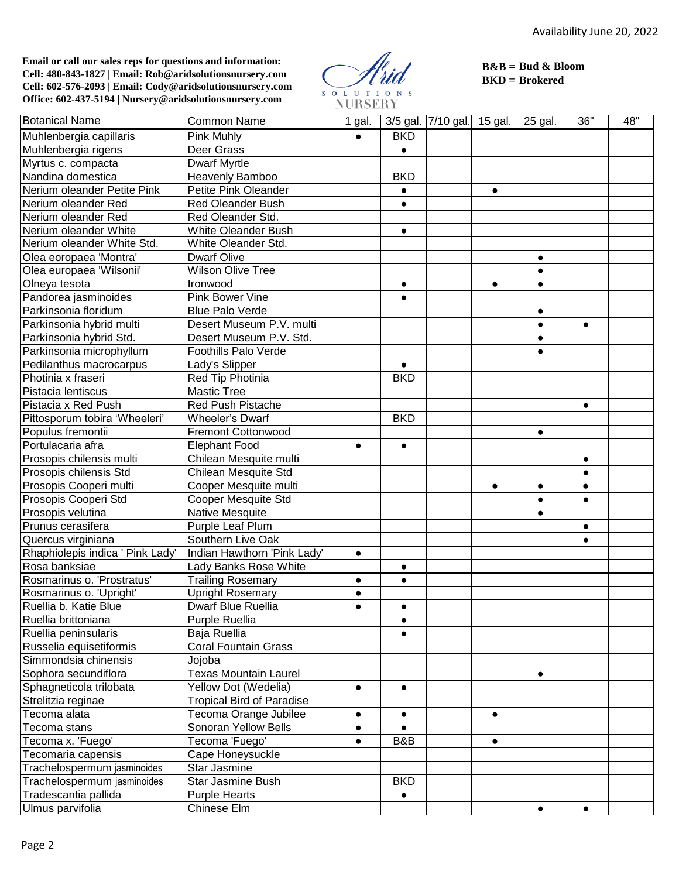**Email or call our sales reps for questions and information: Cell: 480-843-1827 | Email: Rob@aridsolutionsnursery.com Cell: 602-576-2093 | Email: Cody@aridsolutionsnursery.com Office: 602-437-5194 | Nursery@aridsolutionsnursery.com**

SOLUTION<br>NURSERY  $\overline{\mathbf{s}}$ 

**B&B = Bud & Bloom BKD = Brokered**

| <b>Botanical Name</b>            | <b>Common Name</b>               | 1 gal.    |            | 3/5 gal. 7/10 gal. 15 gal. |           | 25 gal.   | 36"       | 48" |
|----------------------------------|----------------------------------|-----------|------------|----------------------------|-----------|-----------|-----------|-----|
| Muhlenbergia capillaris          | <b>Pink Muhly</b>                |           | <b>BKD</b> |                            |           |           |           |     |
| Muhlenbergia rigens              | Deer Grass                       |           | $\bullet$  |                            |           |           |           |     |
| Myrtus c. compacta               | <b>Dwarf Myrtle</b>              |           |            |                            |           |           |           |     |
| Nandina domestica                | Heavenly Bamboo                  |           | <b>BKD</b> |                            |           |           |           |     |
| Nerium oleander Petite Pink      | Petite Pink Oleander             |           | $\bullet$  |                            | $\bullet$ |           |           |     |
| Nerium oleander Red              | <b>Red Oleander Bush</b>         |           | $\bullet$  |                            |           |           |           |     |
| Nerium oleander Red              | Red Oleander Std.                |           |            |                            |           |           |           |     |
| Nerium oleander White            | White Oleander Bush              |           | $\bullet$  |                            |           |           |           |     |
| Nerium oleander White Std.       | White Oleander Std.              |           |            |                            |           |           |           |     |
| Olea eoropaea 'Montra'           | <b>Dwarf Olive</b>               |           |            |                            |           | $\bullet$ |           |     |
| Olea europaea 'Wilsonii'         | <b>Wilson Olive Tree</b>         |           |            |                            |           | $\bullet$ |           |     |
| Olneya tesota                    | Ironwood                         |           | $\bullet$  |                            | $\bullet$ | $\bullet$ |           |     |
| Pandorea jasminoides             | Pink Bower Vine                  |           | $\bullet$  |                            |           |           |           |     |
| Parkinsonia floridum             | <b>Blue Palo Verde</b>           |           |            |                            |           | $\bullet$ |           |     |
| Parkinsonia hybrid multi         | Desert Museum P.V. multi         |           |            |                            |           | $\bullet$ | $\bullet$ |     |
| Parkinsonia hybrid Std.          | Desert Museum P.V. Std.          |           |            |                            |           | $\bullet$ |           |     |
| Parkinsonia microphyllum         | <b>Foothills Palo Verde</b>      |           |            |                            |           | $\bullet$ |           |     |
| Pedilanthus macrocarpus          | Lady's Slipper                   |           | $\bullet$  |                            |           |           |           |     |
| Photinia x fraseri               | Red Tip Photinia                 |           | <b>BKD</b> |                            |           |           |           |     |
| Pistacia lentiscus               | <b>Mastic Tree</b>               |           |            |                            |           |           |           |     |
| Pistacia x Red Push              | <b>Red Push Pistache</b>         |           |            |                            |           |           | $\bullet$ |     |
| Pittosporum tobira 'Wheeleri'    | Wheeler's Dwarf                  |           | <b>BKD</b> |                            |           |           |           |     |
| Populus fremontii                | <b>Fremont Cottonwood</b>        |           |            |                            |           | $\bullet$ |           |     |
| Portulacaria afra                | <b>Elephant Food</b>             | $\bullet$ | $\bullet$  |                            |           |           |           |     |
| Prosopis chilensis multi         | Chilean Mesquite multi           |           |            |                            |           |           | $\bullet$ |     |
| Prosopis chilensis Std           | Chilean Mesquite Std             |           |            |                            |           |           | $\bullet$ |     |
| Prosopis Cooperi multi           | Cooper Mesquite multi            |           |            |                            | $\bullet$ | $\bullet$ | $\bullet$ |     |
| Prosopis Cooperi Std             | <b>Cooper Mesquite Std</b>       |           |            |                            |           | $\bullet$ | $\bullet$ |     |
| Prosopis velutina                | Native Mesquite                  |           |            |                            |           | $\bullet$ |           |     |
| Prunus cerasifera                | Purple Leaf Plum                 |           |            |                            |           |           | $\bullet$ |     |
| Quercus virginiana               | Southern Live Oak                |           |            |                            |           |           | $\bullet$ |     |
| Rhaphiolepis indica ' Pink Lady' | Indian Hawthorn 'Pink Lady'      | $\bullet$ |            |                            |           |           |           |     |
| Rosa banksiae                    | Lady Banks Rose White            |           | $\bullet$  |                            |           |           |           |     |
| Rosmarinus o. 'Prostratus'       | <b>Trailing Rosemary</b>         | $\bullet$ | $\bullet$  |                            |           |           |           |     |
| Rosmarinus o. 'Upright'          | <b>Upright Rosemary</b>          | $\bullet$ |            |                            |           |           |           |     |
| Ruellia b. Katie Blue            | Dwarf Blue Ruellia               | $\bullet$ | $\bullet$  |                            |           |           |           |     |
| Ruellia brittoniana              | Purple Ruellia                   |           | $\bullet$  |                            |           |           |           |     |
| Ruellia peninsularis             | Baja Ruellia                     |           | $\bullet$  |                            |           |           |           |     |
| Russelia equisetiformis          | <b>Coral Fountain Grass</b>      |           |            |                            |           |           |           |     |
| Simmondsia chinensis             | Jojoba                           |           |            |                            |           |           |           |     |
| Sophora secundiflora             | <b>Texas Mountain Laurel</b>     |           |            |                            |           | $\bullet$ |           |     |
| Sphagneticola trilobata          | Yellow Dot (Wedelia)             | $\bullet$ | $\bullet$  |                            |           |           |           |     |
| Strelitzia reginae               | <b>Tropical Bird of Paradise</b> |           |            |                            |           |           |           |     |
| Tecoma alata                     | Tecoma Orange Jubilee            |           | $\bullet$  |                            | $\bullet$ |           |           |     |
| Tecoma stans                     | Sonoran Yellow Bells             |           |            |                            |           |           |           |     |
| Tecoma x. 'Fuego'                | Tecoma 'Fuego'                   | $\bullet$ | B&B        |                            | $\bullet$ |           |           |     |
| Tecomaria capensis               | Cape Honeysuckle                 |           |            |                            |           |           |           |     |
| Trachelospermum jasminoides      | Star Jasmine                     |           |            |                            |           |           |           |     |
| Trachelospermum jasminoides      | <b>Star Jasmine Bush</b>         |           | <b>BKD</b> |                            |           |           |           |     |
| Tradescantia pallida             | <b>Purple Hearts</b>             |           | $\bullet$  |                            |           |           |           |     |
| Ulmus parvifolia                 | Chinese Elm                      |           |            |                            |           | $\bullet$ | $\bullet$ |     |